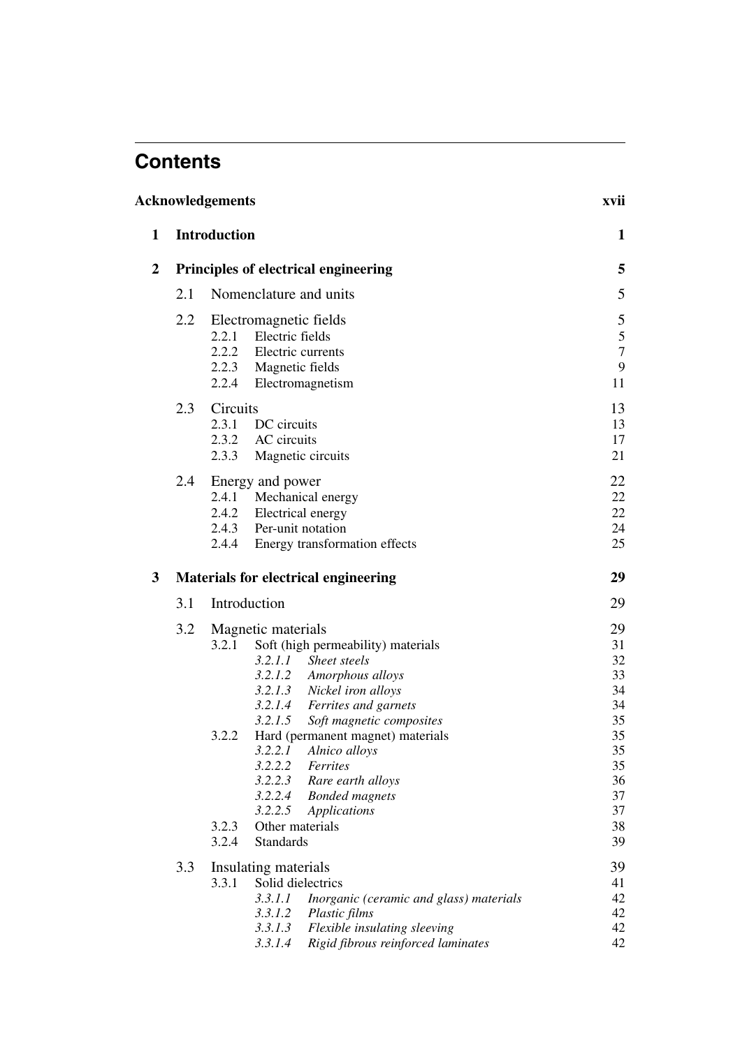## **Contents**

| Acknowledgements |                                                                                                                                                       |                                                                                                                                                                                                                                                                                                                                                                                                                                                                            |                                                                                        |  |  |
|------------------|-------------------------------------------------------------------------------------------------------------------------------------------------------|----------------------------------------------------------------------------------------------------------------------------------------------------------------------------------------------------------------------------------------------------------------------------------------------------------------------------------------------------------------------------------------------------------------------------------------------------------------------------|----------------------------------------------------------------------------------------|--|--|
| 1                |                                                                                                                                                       | <b>Introduction</b>                                                                                                                                                                                                                                                                                                                                                                                                                                                        | 1                                                                                      |  |  |
| $\mathbf{2}$     |                                                                                                                                                       | Principles of electrical engineering                                                                                                                                                                                                                                                                                                                                                                                                                                       | 5                                                                                      |  |  |
|                  | 2.1                                                                                                                                                   | Nomenclature and units                                                                                                                                                                                                                                                                                                                                                                                                                                                     | 5                                                                                      |  |  |
|                  | 2.2                                                                                                                                                   | Electromagnetic fields<br>2.2.1 Electric fields<br>2.2.2 Electric currents<br>2.2.3 Magnetic fields<br>2.2.4 Electromagnetism                                                                                                                                                                                                                                                                                                                                              | 5<br>$\sqrt{5}$<br>$\boldsymbol{7}$<br>9<br>11                                         |  |  |
|                  | 2.3                                                                                                                                                   | Circuits<br>2.3.1<br>DC circuits<br>2.3.2 AC circuits<br>2.3.3<br>Magnetic circuits                                                                                                                                                                                                                                                                                                                                                                                        | 13<br>13<br>17<br>21                                                                   |  |  |
|                  | 2.4<br>Energy and power<br>2.4.1<br>Mechanical energy<br>2.4.2 Electrical energy<br>2.4.3 Per-unit notation<br>Energy transformation effects<br>2.4.4 |                                                                                                                                                                                                                                                                                                                                                                                                                                                                            |                                                                                        |  |  |
| 3                |                                                                                                                                                       | <b>Materials for electrical engineering</b>                                                                                                                                                                                                                                                                                                                                                                                                                                | 29                                                                                     |  |  |
|                  | 3.1                                                                                                                                                   | Introduction                                                                                                                                                                                                                                                                                                                                                                                                                                                               | 29                                                                                     |  |  |
|                  | 3.2                                                                                                                                                   | Magnetic materials<br>Soft (high permeability) materials<br>3.2.1<br>3.2.1.1<br>Sheet steels<br>3.2.1.2 Amorphous alloys<br>3.2.1.3 Nickel iron alloys<br>3.2.1.4 Ferrites and garnets<br>3.2.1.5<br>Soft magnetic composites<br>Hard (permanent magnet) materials<br>3.2.2<br>3.2.2.1 Alnico alloys<br>3.2.2.2 Ferrites<br>3.2.2.3 Rare earth alloys<br>3.2.2.4 Bonded magnets<br>3.2.2.5<br><b>Applications</b><br>3.2.3<br>Other materials<br>3.2.4<br><b>Standards</b> | 29<br>31<br>32<br>33<br>34<br>34<br>35<br>35<br>35<br>35<br>36<br>37<br>37<br>38<br>39 |  |  |
|                  | 3.3                                                                                                                                                   | Insulating materials<br>Solid dielectrics<br>3.3.1<br>3.3.1.1<br>Inorganic (ceramic and glass) materials<br>3.3.1.2<br>Plastic films<br>Flexible insulating sleeving<br>3.3.1.3<br>Rigid fibrous reinforced laminates<br>3.3.1.4                                                                                                                                                                                                                                           | 39<br>41<br>42<br>42<br>42<br>42                                                       |  |  |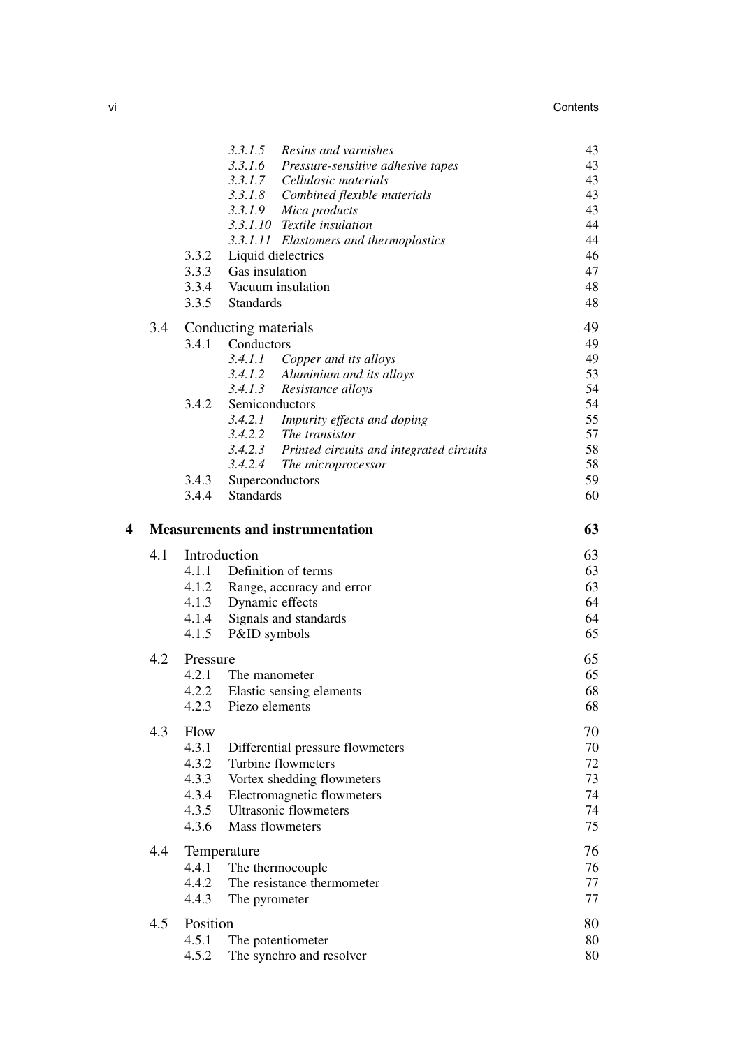|   |     | 3.3.2<br>3.3.5                                    | 3.3.1.5<br>Resins and varnishes<br>3.3.1.6<br>Pressure-sensitive adhesive tapes<br>3.3.1.7 Cellulosic materials<br>3.3.1.8 Combined flexible materials<br>3.3.1.9<br>Mica products<br>3.3.1.10 Textile insulation<br>3.3.1.11 Elastomers and thermoplastics<br>Liquid dielectrics<br>3.3.3 Gas insulation<br>3.3.4 Vacuum insulation<br><b>Standards</b>           | 43<br>43<br>43<br>43<br>43<br>44<br>44<br>46<br>47<br>48<br>48       |
|---|-----|---------------------------------------------------|--------------------------------------------------------------------------------------------------------------------------------------------------------------------------------------------------------------------------------------------------------------------------------------------------------------------------------------------------------------------|----------------------------------------------------------------------|
|   | 3.4 | 3.4.2<br>3.4.3<br>3.4.4                           | Conducting materials<br>3.4.1 Conductors<br>3.4.1.1<br>Copper and its alloys<br>3.4.1.2<br>Aluminium and its alloys<br>3.4.1.3<br>Resistance alloys<br>Semiconductors<br>3.4.2.1 Impurity effects and doping<br>3.4.2.2 The transistor<br>3.4.2.3 Printed circuits and integrated circuits<br>3.4.2.4<br>The microprocessor<br>Superconductors<br><b>Standards</b> | 49<br>49<br>49<br>53<br>54<br>54<br>55<br>57<br>58<br>58<br>59<br>60 |
| 4 |     |                                                   | <b>Measurements and instrumentation</b>                                                                                                                                                                                                                                                                                                                            | 63                                                                   |
|   | 4.1 | 4.1.4<br>4.1.5                                    | Introduction<br>4.1.1 Definition of terms<br>4.1.2 Range, accuracy and error<br>4.1.3 Dynamic effects<br>Signals and standards<br>P&ID symbols                                                                                                                                                                                                                     | 63<br>63<br>63<br>64<br>64<br>65                                     |
|   | 4.2 | Pressure<br>4.2.1                                 | The manometer<br>4.2.2 Elastic sensing elements<br>4.2.3 Piezo elements                                                                                                                                                                                                                                                                                            | 65<br>65<br>68<br>68                                                 |
|   | 4.3 | Flow<br>4.3.1<br>4.3.2<br>4.3.3<br>4.3.4<br>4.3.5 | Differential pressure flowmeters<br>Turbine flowmeters<br>Vortex shedding flowmeters<br>Electromagnetic flowmeters<br><b>Ultrasonic flowmeters</b>                                                                                                                                                                                                                 | 70<br>70<br>72<br>73<br>74<br>74                                     |
|   |     | 4.3.6                                             | Mass flowmeters                                                                                                                                                                                                                                                                                                                                                    | 75                                                                   |
|   | 4.4 | 4.4.1<br>4.4.2<br>4.4.3                           | Temperature<br>The thermocouple<br>The resistance thermometer<br>The pyrometer                                                                                                                                                                                                                                                                                     | 76<br>76<br>77<br>77                                                 |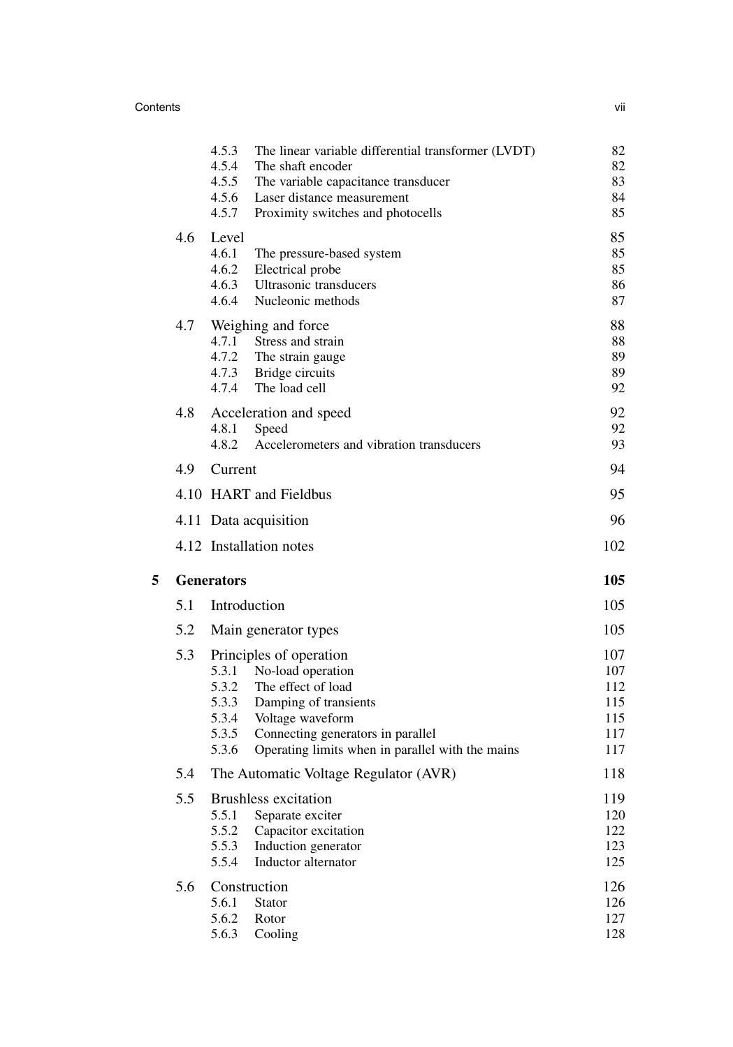## Contents vii

|   |                   | 4.5.3<br>4.5.4<br>4.5.5<br>4.5.6<br>4.5.7          | The linear variable differential transformer (LVDT)<br>The shaft encoder<br>The variable capacitance transducer<br>Laser distance measurement<br>Proximity switches and photocells                       | 82<br>82<br>83<br>84<br>85                    |  |
|---|-------------------|----------------------------------------------------|----------------------------------------------------------------------------------------------------------------------------------------------------------------------------------------------------------|-----------------------------------------------|--|
|   | 4.6               | Level<br>4.6.1<br>4.6.2<br>4.6.3<br>4.6.4          | The pressure-based system<br>Electrical probe<br>Ultrasonic transducers<br>Nucleonic methods                                                                                                             | 85<br>85<br>85<br>86<br>87                    |  |
|   | 4.7               | 4.7.1<br>4.7.2<br>4.7.3<br>4.7.4                   | Weighing and force<br>Stress and strain<br>The strain gauge<br>Bridge circuits<br>The load cell                                                                                                          | 88<br>88<br>89<br>89<br>92                    |  |
|   | 4.8               | 4.8.1<br>4.8.2                                     | Acceleration and speed<br>Speed<br>Accelerometers and vibration transducers                                                                                                                              | 92<br>92<br>93                                |  |
|   | 4.9               | Current                                            |                                                                                                                                                                                                          | 94                                            |  |
|   |                   |                                                    | 4.10 HART and Fieldbus                                                                                                                                                                                   | 95                                            |  |
|   |                   |                                                    | 4.11 Data acquisition                                                                                                                                                                                    | 96                                            |  |
|   |                   |                                                    | 4.12 Installation notes                                                                                                                                                                                  | 102                                           |  |
| 5 | <b>Generators</b> |                                                    |                                                                                                                                                                                                          |                                               |  |
|   | 5.1               | Introduction                                       |                                                                                                                                                                                                          | 105                                           |  |
|   | 5.2               |                                                    | Main generator types                                                                                                                                                                                     | 105                                           |  |
|   | 5.3               | 5.3.1<br>5.3.2<br>5.3.3<br>5.3.4<br>5.3.5<br>5.3.6 | Principles of operation<br>No-load operation<br>The effect of load<br>Damping of transients<br>Voltage waveform<br>Connecting generators in parallel<br>Operating limits when in parallel with the mains | 107<br>107<br>112<br>115<br>115<br>117<br>117 |  |
|   | 5.4               |                                                    | The Automatic Voltage Regulator (AVR)                                                                                                                                                                    | 118                                           |  |
|   | 5.5               | 5.5.1<br>5.5.2<br>5.5.3<br>5.5.4                   | <b>Brushless excitation</b><br>Separate exciter<br>Capacitor excitation<br>Induction generator<br>Inductor alternator                                                                                    | 119<br>120<br>122<br>123<br>125               |  |
|   | 5.6               | Construction<br>5.6.1<br>5.6.2<br>5.6.3            | <b>Stator</b><br>Rotor<br>Cooling                                                                                                                                                                        | 126<br>126<br>127<br>128                      |  |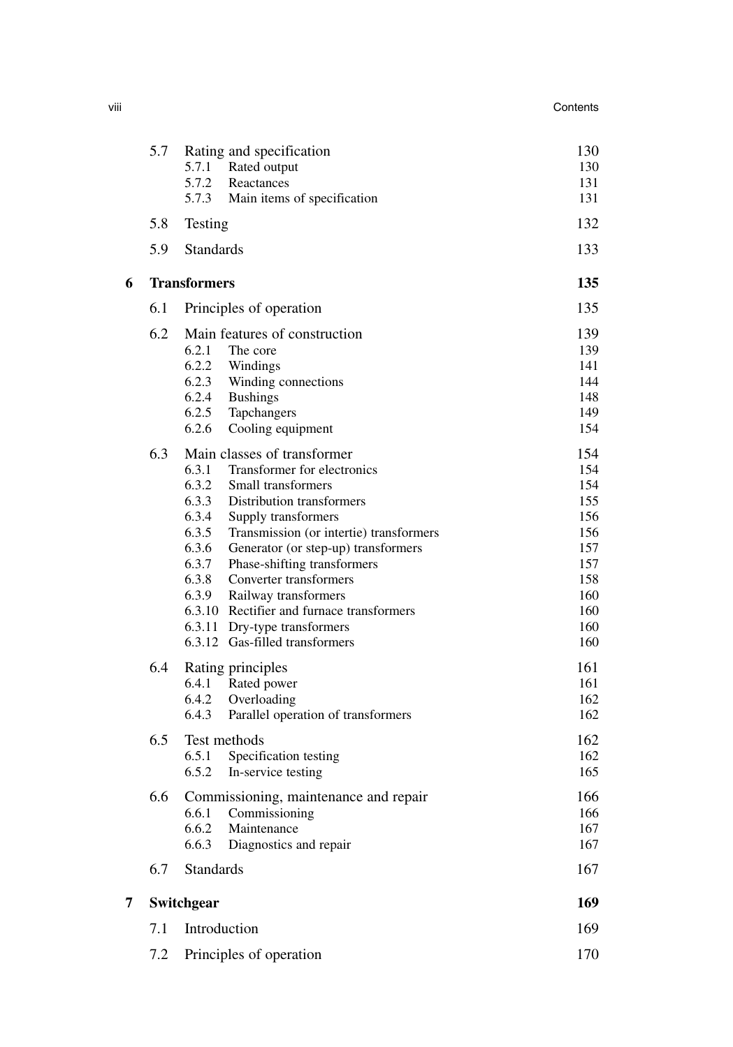|   | 5.7 | Rating and specification<br>5.7.1<br>Rated output<br>5.7.2<br>Reactances<br>5.7.3<br>Main items of specification                                                                                                                                                                                                                                                                                                                                                                                        | 130<br>130<br>131<br>131                                                                |
|---|-----|---------------------------------------------------------------------------------------------------------------------------------------------------------------------------------------------------------------------------------------------------------------------------------------------------------------------------------------------------------------------------------------------------------------------------------------------------------------------------------------------------------|-----------------------------------------------------------------------------------------|
|   | 5.8 | Testing                                                                                                                                                                                                                                                                                                                                                                                                                                                                                                 | 132                                                                                     |
|   | 5.9 | <b>Standards</b>                                                                                                                                                                                                                                                                                                                                                                                                                                                                                        | 133                                                                                     |
| 6 |     | <b>Transformers</b>                                                                                                                                                                                                                                                                                                                                                                                                                                                                                     | 135                                                                                     |
|   | 6.1 | Principles of operation                                                                                                                                                                                                                                                                                                                                                                                                                                                                                 | 135                                                                                     |
|   | 6.2 | Main features of construction<br>6.2.1<br>The core<br>6.2.2<br>Windings<br>6.2.3<br>Winding connections<br>6.2.4<br><b>Bushings</b><br>6.2.5<br>Tapchangers<br>6.2.6<br>Cooling equipment                                                                                                                                                                                                                                                                                                               | 139<br>139<br>141<br>144<br>148<br>149<br>154                                           |
|   | 6.3 | Main classes of transformer<br>6.3.1<br>Transformer for electronics<br>6.3.2<br>Small transformers<br>6.3.3<br>Distribution transformers<br>6.3.4<br>Supply transformers<br>6.3.5<br>Transmission (or intertie) transformers<br>6.3.6<br>Generator (or step-up) transformers<br>6.3.7<br>Phase-shifting transformers<br>6.3.8<br>Converter transformers<br>6.3.9<br>Railway transformers<br>6.3.10 Rectifier and furnace transformers<br>6.3.11 Dry-type transformers<br>6.3.12 Gas-filled transformers | 154<br>154<br>154<br>155<br>156<br>156<br>157<br>157<br>158<br>160<br>160<br>160<br>160 |
|   | 6.4 | Rating principles<br>Rated power<br>6.4.1<br>6.4.2<br>Overloading<br>6.4.3<br>Parallel operation of transformers                                                                                                                                                                                                                                                                                                                                                                                        | 161<br>161<br>162<br>162                                                                |
|   | 6.5 | Test methods<br>6.5.1<br>Specification testing<br>6.5.2<br>In-service testing                                                                                                                                                                                                                                                                                                                                                                                                                           | 162<br>162<br>165                                                                       |
|   | 6.6 | Commissioning, maintenance and repair<br>Commissioning<br>6.6.1<br>6.6.2<br>Maintenance<br>Diagnostics and repair<br>6.6.3                                                                                                                                                                                                                                                                                                                                                                              | 166<br>166<br>167<br>167                                                                |
|   | 6.7 | <b>Standards</b>                                                                                                                                                                                                                                                                                                                                                                                                                                                                                        | 167                                                                                     |
| 7 |     | Switchgear                                                                                                                                                                                                                                                                                                                                                                                                                                                                                              | 169                                                                                     |
|   | 7.1 | Introduction                                                                                                                                                                                                                                                                                                                                                                                                                                                                                            | 169                                                                                     |
|   | 7.2 | Principles of operation                                                                                                                                                                                                                                                                                                                                                                                                                                                                                 | 170                                                                                     |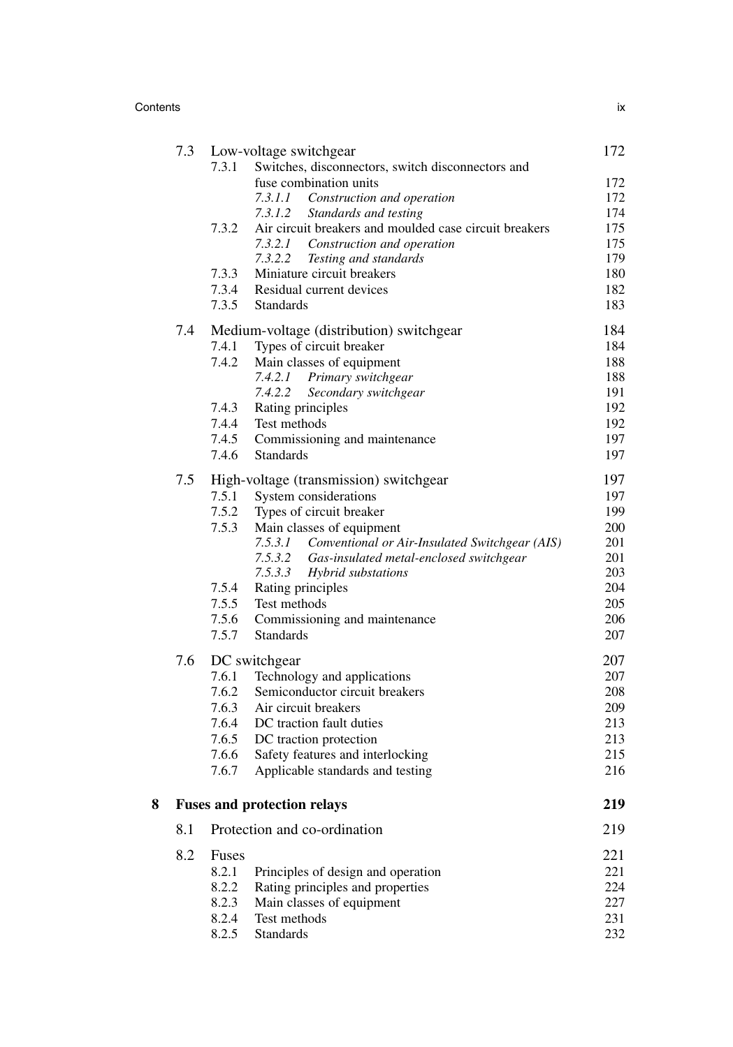Contents ix

|   | 7.3 |       | Low-voltage switchgear                                                 | 172        |
|---|-----|-------|------------------------------------------------------------------------|------------|
|   |     | 7.3.1 | Switches, disconnectors, switch disconnectors and                      |            |
|   |     |       | fuse combination units                                                 | 172        |
|   |     |       | 7.3.1.1 Construction and operation<br>7.3.1.2<br>Standards and testing | 172<br>174 |
|   |     | 7.3.2 | Air circuit breakers and moulded case circuit breakers                 | 175        |
|   |     |       | 7.3.2.1 Construction and operation                                     | 175        |
|   |     |       | 7.3.2.2 Testing and standards                                          | 179        |
|   |     | 7.3.3 | Miniature circuit breakers                                             | 180        |
|   |     | 7.3.4 | Residual current devices                                               | 182        |
|   |     | 7.3.5 | <b>Standards</b>                                                       | 183        |
|   | 7.4 |       | Medium-voltage (distribution) switchgear                               | 184        |
|   |     | 7.4.1 | Types of circuit breaker                                               | 184        |
|   |     | 7.4.2 | Main classes of equipment                                              | 188        |
|   |     |       | 7.4.2.1 Primary switchgear                                             | 188        |
|   |     |       | 7.4.2.2<br>Secondary switchgear                                        | 191        |
|   |     | 7.4.3 | Rating principles                                                      | 192        |
|   |     | 7.4.4 | Test methods                                                           | 192        |
|   |     | 7.4.5 | Commissioning and maintenance                                          | 197        |
|   |     | 7.4.6 | <b>Standards</b>                                                       | 197        |
|   | 7.5 |       | High-voltage (transmission) switchgear                                 | 197        |
|   |     | 7.5.1 | System considerations                                                  | 197        |
|   |     | 7.5.2 | Types of circuit breaker                                               | 199        |
|   |     | 7.5.3 | Main classes of equipment                                              | 200        |
|   |     |       | 7.5.3.1<br>Conventional or Air-Insulated Switchgear (AIS)<br>7.5.3.2   | 201        |
|   |     |       | Gas-insulated metal-enclosed switchgear<br>7.5.3.3                     | 201<br>203 |
|   |     | 7.5.4 | Hybrid substations<br>Rating principles                                | 204        |
|   |     | 7.5.5 | Test methods                                                           | 205        |
|   |     | 7.5.6 | Commissioning and maintenance                                          | 206        |
|   |     | 7.5.7 | <b>Standards</b>                                                       | 207        |
|   | 7.6 |       | DC switchgear                                                          | 207        |
|   |     | 7.6.1 | Technology and applications                                            | 207        |
|   |     | 7.6.2 | Semiconductor circuit breakers                                         | 208        |
|   |     | 7.6.3 | Air circuit breakers                                                   | 209        |
|   |     | 7.6.4 | DC traction fault duties                                               | 213        |
|   |     | 7.6.5 | DC traction protection                                                 | 213        |
|   |     | 7.6.6 | Safety features and interlocking                                       | 215        |
|   |     | 7.6.7 | Applicable standards and testing                                       | 216        |
| 8 |     |       | <b>Fuses and protection relays</b>                                     | 219        |
|   | 8.1 |       | Protection and co-ordination                                           | 219        |
|   | 8.2 | Fuses |                                                                        | 221        |
|   |     | 8.2.1 | Principles of design and operation                                     | 221        |
|   |     | 8.2.2 | Rating principles and properties                                       | 224        |
|   |     | 8.2.3 | Main classes of equipment                                              | 227        |
|   |     | 8.2.4 | Test methods                                                           | 231        |
|   |     | 8.2.5 | <b>Standards</b>                                                       | 232        |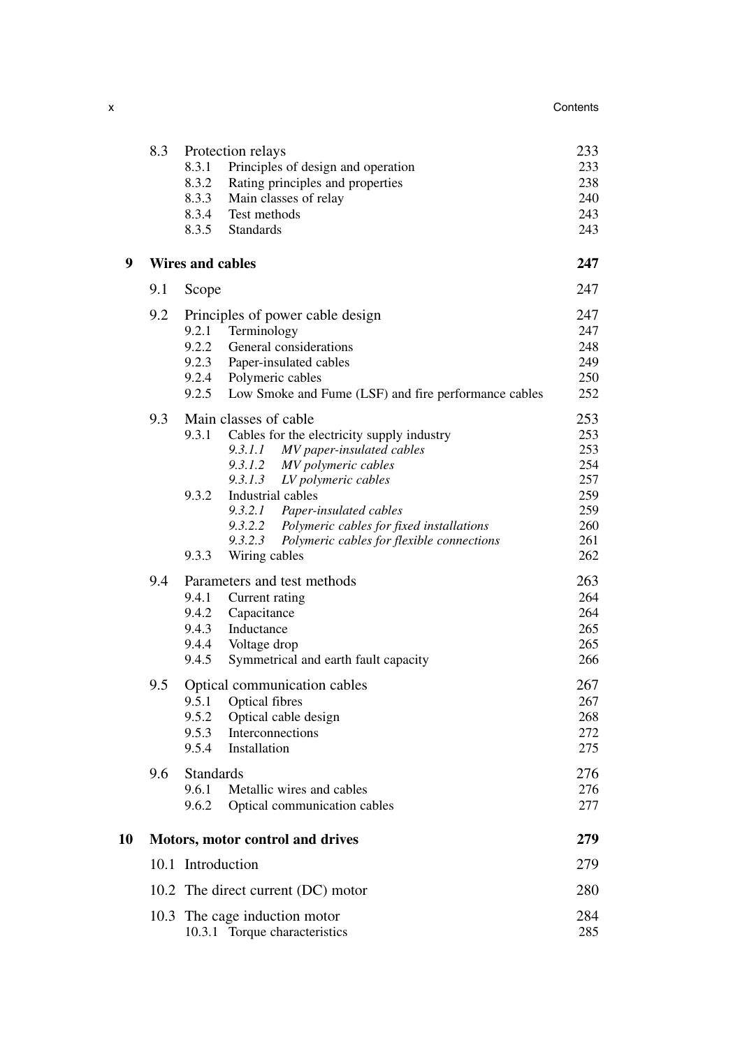|    | 8.3 | Protection relays<br>Principles of design and operation<br>8.3.1<br>8.3.2<br>Rating principles and properties<br>Main classes of relay<br>8.3.3<br>8.3.4<br>Test methods<br>8.3.5<br><b>Standards</b>                                                                                                                                                                                    | 233<br>233<br>238<br>240<br>243<br>243                             |
|----|-----|------------------------------------------------------------------------------------------------------------------------------------------------------------------------------------------------------------------------------------------------------------------------------------------------------------------------------------------------------------------------------------------|--------------------------------------------------------------------|
| 9  |     | <b>Wires and cables</b>                                                                                                                                                                                                                                                                                                                                                                  | 247                                                                |
|    | 9.1 | Scope                                                                                                                                                                                                                                                                                                                                                                                    | 247                                                                |
|    | 9.2 | Principles of power cable design<br>9.2.1<br>Terminology<br>9.2.2<br>General considerations<br>9.2.3 Paper-insulated cables<br>9.2.4 Polymeric cables<br>9.2.5<br>Low Smoke and Fume (LSF) and fire performance cables                                                                                                                                                                   | 247<br>247<br>248<br>249<br>250<br>252                             |
|    | 9.3 | Main classes of cable<br>9.3.1<br>Cables for the electricity supply industry<br>9.3.1.1 MV paper-insulated cables<br>9.3.1.2 MV polymeric cables<br>9.3.1.3<br>LV polymeric cables<br>9.3.2<br>Industrial cables<br>9.3.2.1 Paper-insulated cables<br>9.3.2.2 Polymeric cables for fixed installations<br>9.3.2.3<br>Polymeric cables for flexible connections<br>9.3.3<br>Wiring cables | 253<br>253<br>253<br>254<br>257<br>259<br>259<br>260<br>261<br>262 |
|    | 9.4 | Parameters and test methods<br>9.4.1<br>Current rating<br>9.4.2<br>Capacitance<br>9.4.3<br>Inductance<br>9.4.4<br>Voltage drop<br>9.4.5<br>Symmetrical and earth fault capacity                                                                                                                                                                                                          | 263<br>264<br>264<br>265<br>265<br>266                             |
|    | 9.5 | Optical communication cables<br>9.5.1<br>Optical fibres<br>9.5.2<br>Optical cable design<br>9.5.3 Interconnections<br>9.5.4 Installation                                                                                                                                                                                                                                                 | 267<br>267<br>268<br>272<br>275                                    |
|    | 9.6 | Standards<br>Metallic wires and cables<br>9.6.1<br>9.6.2<br>Optical communication cables                                                                                                                                                                                                                                                                                                 | 276<br>276<br>277                                                  |
| 10 |     | Motors, motor control and drives                                                                                                                                                                                                                                                                                                                                                         | 279                                                                |
|    |     | 10.1 Introduction                                                                                                                                                                                                                                                                                                                                                                        | 279                                                                |
|    |     | 10.2 The direct current (DC) motor                                                                                                                                                                                                                                                                                                                                                       | 280                                                                |
|    |     | 10.3 The cage induction motor<br>10.3.1 Torque characteristics                                                                                                                                                                                                                                                                                                                           | 284<br>285                                                         |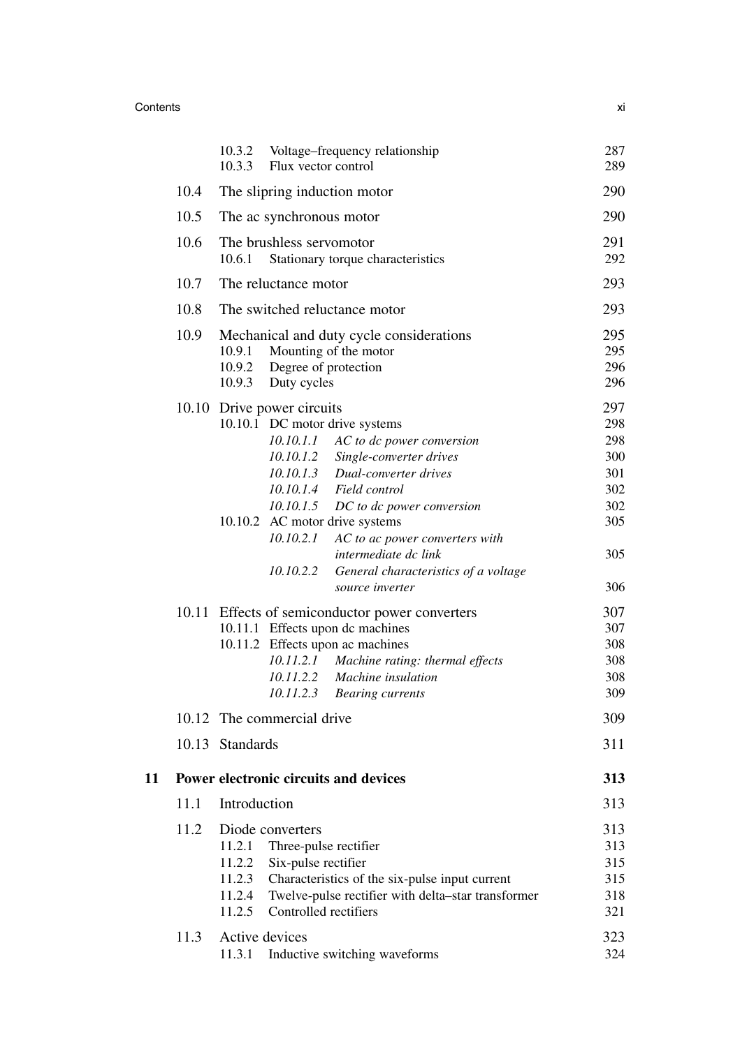## Contents xi

|    |      | 10.3.2<br>Voltage–frequency relationship<br>10.3.3<br>Flux vector control                                                                                                                                                                                                                                                                                                                                                                                                                                                                                                                                                                                               | 287<br>289                                                                                                   |
|----|------|-------------------------------------------------------------------------------------------------------------------------------------------------------------------------------------------------------------------------------------------------------------------------------------------------------------------------------------------------------------------------------------------------------------------------------------------------------------------------------------------------------------------------------------------------------------------------------------------------------------------------------------------------------------------------|--------------------------------------------------------------------------------------------------------------|
|    | 10.4 | The slipring induction motor                                                                                                                                                                                                                                                                                                                                                                                                                                                                                                                                                                                                                                            | 290                                                                                                          |
|    | 10.5 | The ac synchronous motor                                                                                                                                                                                                                                                                                                                                                                                                                                                                                                                                                                                                                                                | 290                                                                                                          |
|    | 10.6 | The brushless servomotor<br>10.6.1<br>Stationary torque characteristics                                                                                                                                                                                                                                                                                                                                                                                                                                                                                                                                                                                                 | 291<br>292                                                                                                   |
|    | 10.7 | The reluctance motor                                                                                                                                                                                                                                                                                                                                                                                                                                                                                                                                                                                                                                                    | 293                                                                                                          |
|    | 10.8 | The switched reluctance motor                                                                                                                                                                                                                                                                                                                                                                                                                                                                                                                                                                                                                                           | 293                                                                                                          |
|    | 10.9 | Mechanical and duty cycle considerations<br>10.9.1<br>Mounting of the motor<br>Degree of protection<br>10.9.2<br>Duty cycles<br>10.9.3                                                                                                                                                                                                                                                                                                                                                                                                                                                                                                                                  | 295<br>295<br>296<br>296                                                                                     |
|    |      | 10.10 Drive power circuits<br>10.10.1 DC motor drive systems<br>10.10.1.1 AC to dc power conversion<br>10.10.1.2<br>Single-converter drives<br>10.10.1.3 Dual-converter drives<br>10.10.1.4 Field control<br>10.10.1.5 DC to dc power conversion<br>10.10.2 AC motor drive systems<br>10.10.2.1<br>AC to ac power converters with<br>intermediate dc link<br>10.10.2.2<br>General characteristics of a voltage<br>source inverter<br>10.11 Effects of semiconductor power converters<br>10.11.1 Effects upon dc machines<br>10.11.2 Effects upon ac machines<br>10.11.2.1 Machine rating: thermal effects<br>10.11.2.2 Machine insulation<br>10.11.2.3 Bearing currents | 297<br>298<br>298<br>300<br>301<br>302<br>302<br>305<br>305<br>306<br>307<br>307<br>308<br>308<br>308<br>309 |
|    |      | 10.12 The commercial drive                                                                                                                                                                                                                                                                                                                                                                                                                                                                                                                                                                                                                                              | 309                                                                                                          |
|    |      | 10.13 Standards                                                                                                                                                                                                                                                                                                                                                                                                                                                                                                                                                                                                                                                         | 311                                                                                                          |
| 11 |      | Power electronic circuits and devices                                                                                                                                                                                                                                                                                                                                                                                                                                                                                                                                                                                                                                   | 313                                                                                                          |
|    | 11.1 | Introduction                                                                                                                                                                                                                                                                                                                                                                                                                                                                                                                                                                                                                                                            | 313                                                                                                          |
|    | 11.2 | Diode converters<br>11.2.1<br>Three-pulse rectifier<br>11.2.2<br>Six-pulse rectifier<br>11.2.3<br>Characteristics of the six-pulse input current<br>11.2.4<br>Twelve-pulse rectifier with delta-star transformer<br>11.2.5<br>Controlled rectifiers                                                                                                                                                                                                                                                                                                                                                                                                                     | 313<br>313<br>315<br>315<br>318<br>321                                                                       |
|    | 11.3 | Active devices<br>11.3.1<br>Inductive switching waveforms                                                                                                                                                                                                                                                                                                                                                                                                                                                                                                                                                                                                               | 323<br>324                                                                                                   |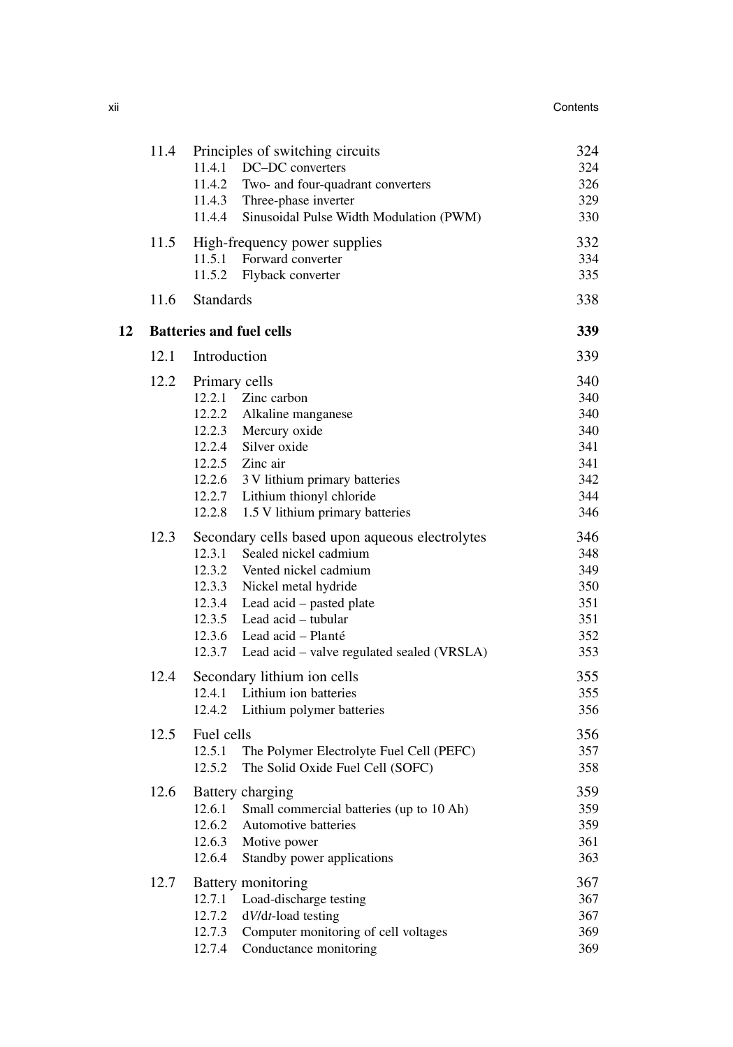|    | 11.4 | Principles of switching circuits<br>11.4.1 DC-DC converters<br>11.4.2 Two- and four-quadrant converters<br>11.4.3 Three-phase inverter<br>11.4.4 Sinusoidal Pulse Width Modulation (PWM)                                                                                                             | 324<br>324<br>326<br>329<br>330                             |
|----|------|------------------------------------------------------------------------------------------------------------------------------------------------------------------------------------------------------------------------------------------------------------------------------------------------------|-------------------------------------------------------------|
|    | 11.5 | High-frequency power supplies<br>11.5.1<br>Forward converter<br>11.5.2<br>Flyback converter                                                                                                                                                                                                          | 332<br>334<br>335                                           |
|    | 11.6 | <b>Standards</b>                                                                                                                                                                                                                                                                                     | 338                                                         |
| 12 |      | <b>Batteries and fuel cells</b>                                                                                                                                                                                                                                                                      | 339                                                         |
|    | 12.1 | Introduction                                                                                                                                                                                                                                                                                         | 339                                                         |
|    | 12.2 | Primary cells<br>12.2.1 Zinc carbon<br>12.2.2 Alkaline manganese<br>12.2.3 Mercury oxide<br>12.2.4 Silver oxide<br>$12.2.5$ Zinc air<br>12.2.6 3 V lithium primary batteries<br>12.2.7 Lithium thionyl chloride<br>1.5 V lithium primary batteries<br>12.2.8                                         | 340<br>340<br>340<br>340<br>341<br>341<br>342<br>344<br>346 |
|    | 12.3 | Secondary cells based upon aqueous electrolytes<br>12.3.1<br>Sealed nickel cadmium<br>12.3.2 Vented nickel cadmium<br>12.3.3 Nickel metal hydride<br>12.3.4 Lead acid – pasted plate<br>12.3.5 Lead acid - tubular<br>12.3.6 Lead acid - Planté<br>12.3.7 Lead acid – valve regulated sealed (VRSLA) | 346<br>348<br>349<br>350<br>351<br>351<br>352<br>353        |
|    | 12.4 | Secondary lithium ion cells<br>Lithium ion batteries<br>12.4.1<br>12.4.2<br>Lithium polymer batteries                                                                                                                                                                                                | 355<br>355<br>356                                           |
|    | 12.5 | Fuel cells<br>12.5.1<br>The Polymer Electrolyte Fuel Cell (PEFC)<br>12.5.2<br>The Solid Oxide Fuel Cell (SOFC)                                                                                                                                                                                       | 356<br>357<br>358                                           |
|    | 12.6 | Battery charging<br>12.6.1<br>Small commercial batteries (up to 10 Ah)<br>12.6.2<br>Automotive batteries<br>12.6.3<br>Motive power<br>Standby power applications<br>12.6.4                                                                                                                           | 359<br>359<br>359<br>361<br>363                             |
|    | 12.7 | Battery monitoring<br>Load-discharge testing<br>12.7.1<br>12.7.2<br>dV/dt-load testing<br>12.7.3<br>Computer monitoring of cell voltages<br>Conductance monitoring<br>12.7.4                                                                                                                         | 367<br>367<br>367<br>369<br>369                             |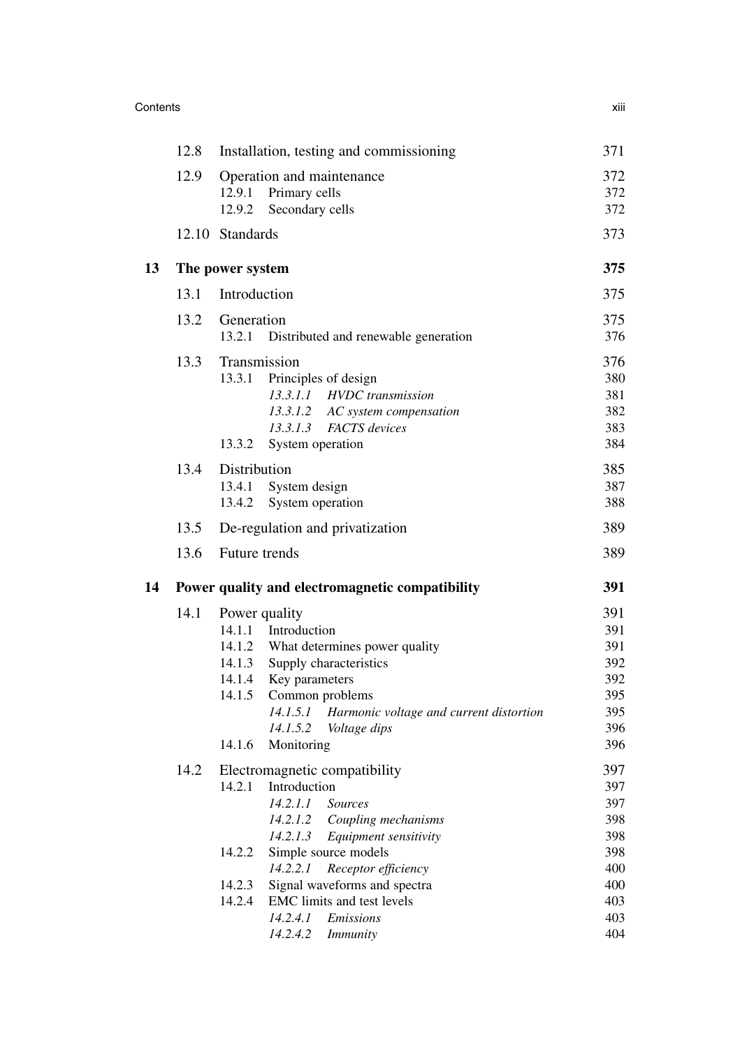| XIII |
|------|
|      |

| 12.8 | Installation, testing and commissioning                                                                                                                                                                                                                                                                              | 371                                                                                                                    |
|------|----------------------------------------------------------------------------------------------------------------------------------------------------------------------------------------------------------------------------------------------------------------------------------------------------------------------|------------------------------------------------------------------------------------------------------------------------|
| 12.9 | Operation and maintenance<br>12.9.1<br>Primary cells<br>12.9.2<br>Secondary cells                                                                                                                                                                                                                                    | 372<br>372<br>372                                                                                                      |
|      |                                                                                                                                                                                                                                                                                                                      | 373                                                                                                                    |
|      |                                                                                                                                                                                                                                                                                                                      | 375                                                                                                                    |
| 13.1 | Introduction                                                                                                                                                                                                                                                                                                         | 375                                                                                                                    |
| 13.2 | Generation<br>13.2.1<br>Distributed and renewable generation                                                                                                                                                                                                                                                         | 375<br>376                                                                                                             |
| 13.3 | Transmission<br>13.3.1<br>Principles of design<br>13.3.1.1 HVDC transmission<br>13.3.1.2<br>AC system compensation<br>13.3.1.3<br><b>FACTS</b> devices<br>13.3.2<br>System operation                                                                                                                                 | 376<br>380<br>381<br>382<br>383<br>384                                                                                 |
| 13.4 | Distribution<br>System design<br>13.4.1<br>System operation<br>13.4.2                                                                                                                                                                                                                                                | 385<br>387<br>388                                                                                                      |
| 13.5 | De-regulation and privatization                                                                                                                                                                                                                                                                                      | 389                                                                                                                    |
| 13.6 | Future trends                                                                                                                                                                                                                                                                                                        | 389                                                                                                                    |
|      |                                                                                                                                                                                                                                                                                                                      | 391                                                                                                                    |
| 14.1 | Power quality<br>14.1.1 Introduction<br>14.1.2 What determines power quality<br>14.1.3 Supply characteristics<br>14.1.4<br>Key parameters<br>Common problems<br>14.1.5<br>Harmonic voltage and current distortion<br>14.1.5.1<br>14.1.5.2<br>Voltage dips<br>Monitoring<br>14.1.6                                    | 391<br>391<br>391<br>392<br>392<br>395<br>395<br>396<br>396                                                            |
| 14.2 | Electromagnetic compatibility<br>14.2.1<br>Introduction<br>14.2.1.1<br><i>Sources</i><br>14.2.1.2<br>Coupling mechanisms<br>14.2.1.3<br>Equipment sensitivity<br>14.2.2<br>Simple source models<br>14.2.2.1<br>Receptor efficiency<br>Signal waveforms and spectra<br>14.2.3<br>14.2.4<br>EMC limits and test levels | 397<br>397.<br>397<br>398<br>398<br>398<br>400<br>400<br>403<br>403                                                    |
|      |                                                                                                                                                                                                                                                                                                                      | 12.10 Standards<br>The power system<br>Power quality and electromagnetic compatibility<br>14.2.4.1<br><b>Emissions</b> |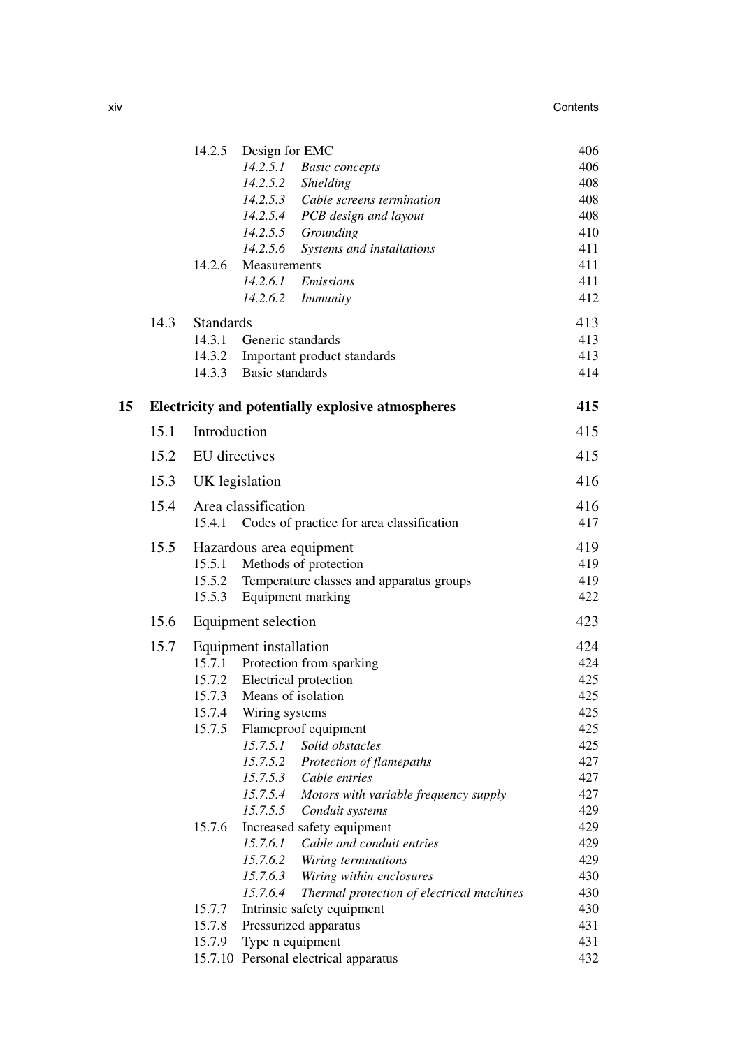|    |      | 14.2.5           | Design for EMC                                                           | 406        |
|----|------|------------------|--------------------------------------------------------------------------|------------|
|    |      |                  | 14.2.5.1<br><b>Basic</b> concepts                                        | 406        |
|    |      |                  | 14.2.5.2<br>Shielding                                                    | 408        |
|    |      |                  | 14.2.5.3 Cable screens termination                                       | 408        |
|    |      |                  | 14.2.5.4<br>PCB design and layout                                        | 408        |
|    |      |                  | 14.2.5.5<br>Grounding                                                    | 410        |
|    |      |                  | 14.2.5.6<br>Systems and installations                                    | 411        |
|    |      | 14.2.6           | Measurements                                                             | 411        |
|    |      |                  | 14.2.6.1<br>Emissions                                                    | 411        |
|    |      |                  | 14.2.6.2<br><i>Immunity</i>                                              | 412        |
|    | 14.3 | <b>Standards</b> |                                                                          | 413        |
|    |      | 14.3.1           | Generic standards                                                        | 413        |
|    |      | 14.3.2           | Important product standards                                              | 413        |
|    |      |                  | 14.3.3 Basic standards                                                   | 414        |
| 15 |      |                  | Electricity and potentially explosive atmospheres                        | 415        |
|    | 15.1 | Introduction     |                                                                          | 415        |
|    | 15.2 | EU directives    |                                                                          | 415        |
|    |      |                  |                                                                          |            |
|    | 15.3 | UK legislation   |                                                                          | 416        |
|    | 15.4 |                  | Area classification                                                      | 416        |
|    |      | 15.4.1           | Codes of practice for area classification                                | 417        |
|    | 15.5 |                  | Hazardous area equipment                                                 | 419        |
|    |      | 15.5.1           | Methods of protection                                                    | 419        |
|    |      | 15.5.2           | Temperature classes and apparatus groups                                 | 419        |
|    |      | 15.5.3           | Equipment marking                                                        | 422        |
|    | 15.6 |                  | Equipment selection                                                      | 423        |
|    | 15.7 |                  | Equipment installation                                                   | 424        |
|    |      |                  | 15.7.1 Protection from sparking                                          | 424        |
|    |      |                  | 15.7.2 Electrical protection                                             | 425        |
|    |      |                  | 15.7.3 Means of isolation                                                | 425        |
|    |      |                  | 15.7.4 Wiring systems                                                    | 425        |
|    |      | 15.7.5           | Flameproof equipment                                                     | 425        |
|    |      |                  | Solid obstacles<br>15.7.5.1                                              | 425        |
|    |      |                  | 15.7.5.2 Protection of flamepaths                                        | 427        |
|    |      |                  | 15.7.5.3 Cable entries                                                   | 427        |
|    |      |                  | 15.7.5.4<br>Motors with variable frequency supply                        | 427        |
|    |      |                  | 15.7.5.5<br>Conduit systems                                              | 429        |
|    |      | 15.7.6           | Increased safety equipment                                               | 429        |
|    |      |                  | Cable and conduit entries<br>15.7.6.1<br>15.7.6.2<br>Wiring terminations | 429<br>429 |
|    |      |                  | 15.7.6.3<br>Wiring within enclosures                                     | 430        |
|    |      |                  | 15.7.6.4<br>Thermal protection of electrical machines                    | 430        |
|    |      | 15.7.7           | Intrinsic safety equipment                                               | 430        |
|    |      | 15.7.8           | Pressurized apparatus                                                    | 431        |
|    |      | 15.7.9           | Type n equipment                                                         | 431        |
|    |      |                  | 15.7.10 Personal electrical apparatus                                    | 432        |
|    |      |                  |                                                                          |            |